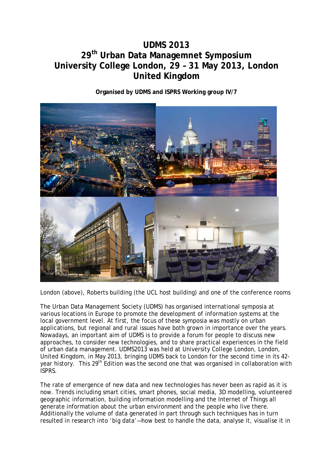## **UDMS 2013 29th Urban Data Managemnet Symposium University College London, 29 – 31 May 2013, London United Kingdom**

**Organised by UDMS and ISPRS Working group IV/7**



London (above), Roberts building (the UCL host building) and one of the conference rooms

The Urban Data Management Society (UDMS) has organised international symposia at various locations in Europe to promote the development of information systems at the local government level. At first, the focus of these symposia was mostly on urban applications, but regional and rural issues have both grown in importance over the years. Nowadays, an important aim of UDMS is to provide a forum for people to discuss new approaches, to consider new technologies, and to share practical experiences in the field of urban data management. UDMS2013 was held at University College London, London, United Kingdom, in May 2013, bringing UDMS back to London for the second time in its 42 year history. This 29<sup>th</sup> Edition was the second one that was organised in collaboration with ISPRS.

The rate of emergence of new data and new technologies has never been as rapid as it is now. Trends including smart cities, smart phones, social media, 3D modelling, volunteered geographic information, building information modelling and the Internet of Things all generate information about the urban environment and the people who live there. Additionally the volume of data generated in part through such techniques has in turn resulted in research into 'big data'—how best to handle the data, analyse it, visualise it in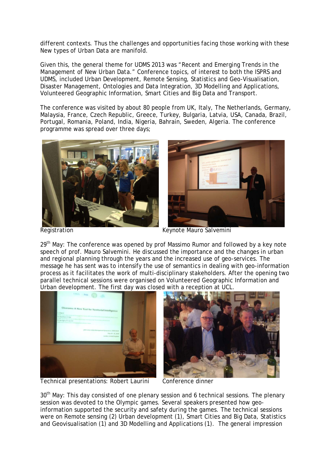different contexts. Thus the challenges and opportunities facing those working with these *New* types of Urban Data are manifold.

Given this, the general theme for UDMS 2013 was *"Recent and Emerging Trends in the Management of New Urban Data."* Conference topics, of interest to both the ISPRS and UDMS, included Urban Development, Remote Sensing, Statistics and Geo-Visualisation, Disaster Management, Ontologies and Data Integration, 3D Modelling and Applications, Volunteered Geographic Information, Smart Cities and Big Data and Transport.

The conference was visited by about 80 people from UK, Italy, The Netherlands, Germany, Malaysia, France, Czech Republic, Greece, Turkey, Bulgaria, Latvia, USA, Canada, Brazil, Portugal, Romania, Poland, India, Nigeria, Bahrain, Sweden, Algeria. The conference programme was spread over three days;



Registration Keynote Mauro Salvemini

29<sup>th</sup> May: The conference was opened by prof Massimo Rumor and followed by a key note speech of prof. Mauro Salvemini. He discussed the importance and the changes in urban and regional planning through the years and the increased use of geo-services. The message he has sent was to intensify the use of semantics in dealing with geo-information process as it facilitates the work of multi-disciplinary stakeholders. After the opening two parallel technical sessions were organised on Volunteered Geographic Information and Urban development. The first day was closed with a reception at UCL.



Technical presentations: Robert Laurini Conference dinner



30<sup>th</sup> May: This day consisted of one plenary session and 6 technical sessions. The plenary session was devoted to the Olympic games. Several speakers presented how geoinformation supported the security and safety during the games. The technical sessions were on Remote sensing (2) Urban development (1), Smart Cities and Big Data, Statistics and Geovisualisation (1) and 3D Modelling and Applications (1). The general impression